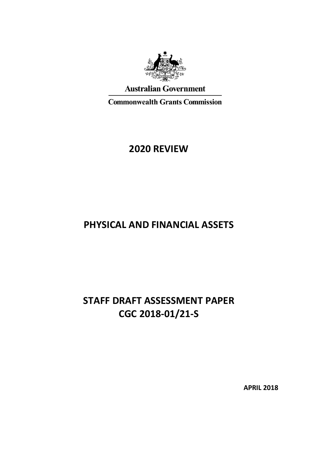

# **Australian Government**

**Commonwealth Grants Commission** 

# **2020 REVIEW**

# **PHYSICAL AND FINANCIAL ASSETS**

# **STAFF DRAFT ASSESSMENT PAPER CGC 2018-01/21-S**

**APRIL 2018**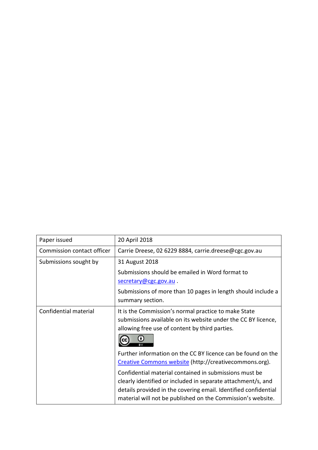| Paper issued               | 20 April 2018                                                                                                                                                                                                                                            |
|----------------------------|----------------------------------------------------------------------------------------------------------------------------------------------------------------------------------------------------------------------------------------------------------|
| Commission contact officer | Carrie Dreese, 02 6229 8884, carrie.dreese@cgc.gov.au                                                                                                                                                                                                    |
| Submissions sought by      | 31 August 2018                                                                                                                                                                                                                                           |
|                            | Submissions should be emailed in Word format to                                                                                                                                                                                                          |
|                            | secretary@cgc.gov.au.                                                                                                                                                                                                                                    |
|                            | Submissions of more than 10 pages in length should include a<br>summary section.                                                                                                                                                                         |
| Confidential material      | It is the Commission's normal practice to make State<br>submissions available on its website under the CC BY licence,<br>allowing free use of content by third parties.                                                                                  |
|                            | Further information on the CC BY licence can be found on the<br>Creative Commons website (http://creativecommons.org).                                                                                                                                   |
|                            | Confidential material contained in submissions must be<br>clearly identified or included in separate attachment/s, and<br>details provided in the covering email. Identified confidential<br>material will not be published on the Commission's website. |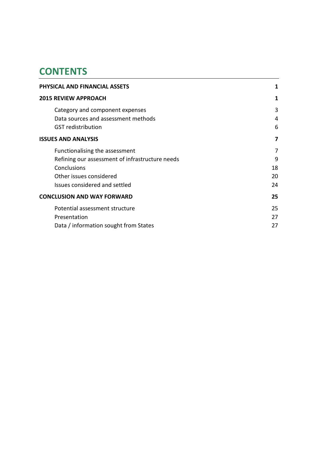# **CONTENTS**

| <b>PHYSICAL AND FINANCIAL ASSETS</b>                                                                                                                         | 1                        |
|--------------------------------------------------------------------------------------------------------------------------------------------------------------|--------------------------|
| <b>2015 REVIEW APPROACH</b>                                                                                                                                  | 1                        |
| Category and component expenses<br>Data sources and assessment methods<br><b>GST</b> redistribution                                                          | 3<br>4<br>6              |
| <b>ISSUES AND ANALYSIS</b>                                                                                                                                   | 7                        |
| Functionalising the assessment<br>Refining our assessment of infrastructure needs<br>Conclusions<br>Other issues considered<br>Issues considered and settled | 7<br>9<br>18<br>20<br>24 |
| <b>CONCLUSION AND WAY FORWARD</b>                                                                                                                            | 25                       |
| Potential assessment structure<br>Presentation<br>Data / information sought from States                                                                      | 25<br>27<br>27           |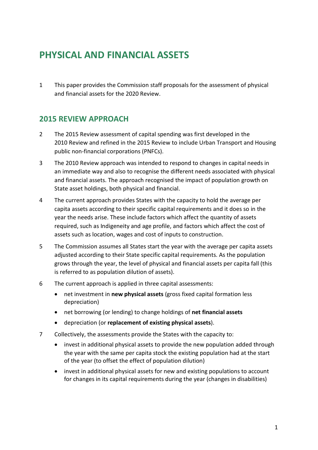# <span id="page-3-0"></span>**PHYSICAL AND FINANCIAL ASSETS**

1 This paper provides the Commission staff proposals for the assessment of physical and financial assets for the 2020 Review.

# <span id="page-3-1"></span>**2015 REVIEW APPROACH**

- 2 The 2015 Review assessment of capital spending was first developed in the 2010 Review and refined in the 2015 Review to include Urban Transport and Housing public non-financial corporations (PNFCs).
- 3 The 2010 Review approach was intended to respond to changes in capital needs in an immediate way and also to recognise the different needs associated with physical and financial assets. The approach recognised the impact of population growth on State asset holdings, both physical and financial.
- 4 The current approach provides States with the capacity to hold the average per capita assets according to their specific capital requirements and it does so in the year the needs arise. These include factors which affect the quantity of assets required, such as Indigeneity and age profile, and factors which affect the cost of assets such as location, wages and cost of inputs to construction.
- 5 The Commission assumes all States start the year with the average per capita assets adjusted according to their State specific capital requirements. As the population grows through the year, the level of physical and financial assets per capita fall (this is referred to as population dilution of assets).
- 6 The current approach is applied in three capital assessments:
	- net investment in **new physical assets** (gross fixed capital formation less depreciation)
	- net borrowing (or lending) to change holdings of **net financial assets**
	- depreciation (or **replacement of existing physical assets**).
- 7 Collectively, the assessments provide the States with the capacity to:
	- invest in additional physical assets to provide the new population added through the year with the same per capita stock the existing population had at the start of the year (to offset the effect of population dilution)
	- invest in additional physical assets for new and existing populations to account for changes in its capital requirements during the year (changes in disabilities)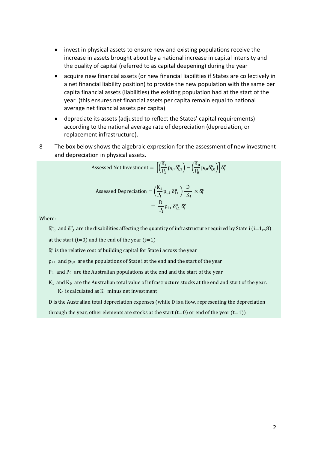- invest in physical assets to ensure new and existing populations receive the increase in assets brought about by a national increase in capital intensity and the quality of capital (referred to as capital deepening) during the year
- acquire new financial assets (or new financial liabilities if States are collectively in a net financial liability position) to provide the new population with the same per capita financial assets (liabilities) the existing population had at the start of the year (this ensures net financial assets per capita remain equal to national average net financial assets per capita)
- depreciate its assets (adjusted to reflect the States' capital requirements) according to the national average rate of depreciation (depreciation, or replacement infrastructure).
- <span id="page-4-0"></span>8 The box below shows the algebraic expression for the assessment of new investment and depreciation in physical assets.

Assessed Net Investment = 
$$
\left[ \left( \frac{K_1}{P_1} p_{i,1} \delta_{i,1}^u \right) - \left( \frac{K_0}{P_0} p_{i,0} \delta_{i,0}^u \right) \right] \delta_i^c
$$
  
Assessed Depreciation = 
$$
\left( \frac{K_1}{P_1} p_{i,1} \delta_{i,1}^u \right) \frac{D}{K_1} \times \delta_i^c
$$

$$
= \frac{D}{P_1} p_{i,1} \delta_{i,1}^u \delta_i^c
$$

Where:

 $\delta_{i,0}^u$  and  $\delta_{i,1}^u$  are the disabilities affecting the quantity of infrastructure required by State i (i=1,..,8)

at the start  $(t=0)$  and the end of the year  $(t=1)$ 

- $\delta_i^c$  is the relative cost of building capital for State i across the year
	- $p_{i,1}$  and  $p_{i,0}$  are the populations of State i at the end and the start of the year
	- $P_1$  and  $P_0$  are the Australian populations at the end and the start of the year
	- K1 and K0 are the Australian total value of infrastructure stocks at the end and start of the year.  $K_0$  is calculated as  $K_1$  minus net investment

D is the Australian total depreciation expenses (while D is a flow, representing the depreciation

through the year, other elements are stocks at the start  $(t=0)$  or end of the year  $(t=1)$ )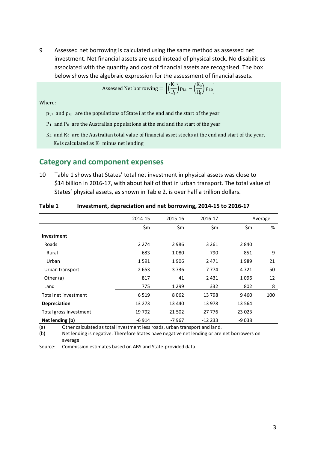9 Assessed net borrowing is calculated using the same method as assessed net investment. Net financial assets are used instead of physical stock. No disabilities associated with the quantity and cost of financial assets are recognised. The box below shows the algebraic expression for the assessment of financial assets.

Assessed Net borrowing = 
$$
\left[ \left( \frac{K_1}{P_1} \right) p_{i,1} - \left( \frac{K_0}{P_0} \right) p_{i,0} \right]
$$

Where:

 $p_{i,1}$  and  $p_{i,0}$  are the populations of State i at the end and the start of the year

- $P_1$  and  $P_0$  are the Australian populations at the end and the start of the year
- $K_1$  and  $K_0$  are the Australian total value of financial asset stocks at the end and start of the year,  $K_0$  is calculated as  $K_1$  minus net lending

### <span id="page-5-0"></span>**Category and component expenses**

10 [Table 1](#page-5-1) shows that States' total net investment in physical assets was close to \$14 billion in 2016-17, with about half of that in urban transport. The total value of States' physical assets, as shown in [Table 2,](#page-6-1) is over half a trillion dollars.

|                        | 2014-15 | 2015-16 | 2016-17 | Average |     |
|------------------------|---------|---------|---------|---------|-----|
|                        | \$m     | \$m     | \$m     | \$m     | %   |
| <b>Investment</b>      |         |         |         |         |     |
| Roads                  | 2 2 7 4 | 2986    | 3 2 6 1 | 2840    |     |
| Rural                  | 683     | 1080    | 790     | 851     | 9   |
| Urban                  | 1591    | 1906    | 2471    | 1989    | 21  |
| Urban transport        | 2653    | 3736    | 7774    | 4721    | 50  |
| Other (a)              | 817     | 41      | 2431    | 1096    | 12  |
| Land                   | 775     | 1 2 9 9 | 332     | 802     | 8   |
| Total net investment   | 6519    | 8062    | 13798   | 9460    | 100 |
| <b>Depreciation</b>    | 13 273  | 13 440  | 13 978  | 13 5 64 |     |
| Total gross investment | 19 792  | 21 502  | 27 776  | 23 023  |     |
| Net lending (b)        | $-6914$ | -7967   | -12 233 | -9 038  |     |

#### <span id="page-5-1"></span>**Table 1 Investment, depreciation and net borrowing, 2014-15 to 2016-17**

(a) Other calculated as total investment less roads, urban transport and land.

(b) Net lending is negative. Therefore States have negative net lending or are net borrowers on average.

Source: Commission estimates based on ABS and State-provided data.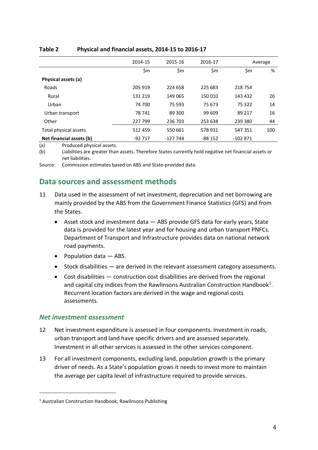|                          | 2014-15 | 2015-16  | 2016-17  |           | Average |
|--------------------------|---------|----------|----------|-----------|---------|
|                          | \$m     | \$m      | \$m      | \$m       | %       |
| Physical assets (a)      |         |          |          |           |         |
| Roads                    | 205 919 | 224 658  | 225 683  | 218 754   |         |
| Rural                    | 131 219 | 149 065  | 150 010  | 143 432   | 26      |
| Urban                    | 74 700  | 75 5 93  | 75 673   | 75 322    | 14      |
| Urban transport          | 78 741  | 89 300   | 99 609   | 89 217    | 16      |
| Other                    | 227 799 | 236 703  | 253 638  | 239 380   | 44      |
| Total physical assets    | 512 459 | 550 661  | 578 931  | 547 351   | 100     |
| Net financial assets (b) | -92 717 | -127 744 | $-88152$ | $-102871$ |         |

#### <span id="page-6-1"></span>**Table 2 Physical and financial assets, 2014-15 to 2016-17**

(a) Produced physical assets.

(b) Liabilities are greater than assets. Therefore States currently hold negative net financial assets or net liabilities.

<span id="page-6-0"></span>Source: Commission estimates based on ABS and State-provided data.

### **Data sources and assessment methods**

- 11 Data used in the assessment of net investment, depreciation and net borrowing are mainly provided by the ABS from the Government Finance Statistics (GFS) and from the States.
	- Asset stock and investment data ABS provide GFS data for early years, State data is provided for the latest year and for housing and urban transport PNFCs. Department of Transport and Infrastructure provides data on national network road payments.
	- Population data ABS.
	- Stock disabilities are derived in the relevant assessment category assessments.
	- Cost disabilities construction cost disabilities are derived from the regional and capital city indices from the Rawlinsons Australian Construction Handbook<sup>[1](#page-6-2)</sup>. Recurrent location factors are derived in the wage and regional costs assessments.

#### *Net investment assessment*

 $\overline{a}$ 

- 12 Net investment expenditure is assessed in four components. Investment in roads, urban transport and land have specific drivers and are assessed separately. Investment in all other services is assessed in the other services component.
- 13 For all investment components, excluding land, population growth is the primary driver of needs. As a State's population grows it needs to invest more to maintain the average per capita level of infrastructure required to provide services.

<span id="page-6-2"></span><sup>1</sup> Australian Construction Handbook, Rawlinsons Publishing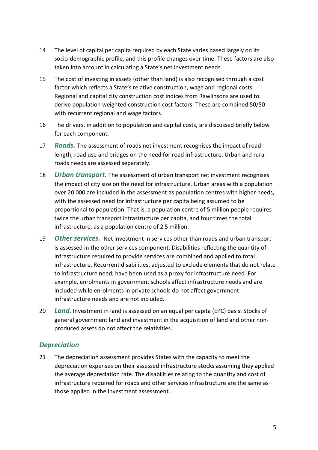- 14 The level of capital per capita required by each State varies based largely on its socio-demographic profile, and this profile changes over time. These factors are also taken into account in calculating a State's net investment needs.
- 15 The cost of investing in assets (other than land) is also recognised through a cost factor which reflects a State's relative construction, wage and regional costs. Regional and capital city construction cost indices from Rawlinsons are used to derive population weighted construction cost factors. These are combined 50/50 with recurrent regional and wage factors.
- 16 The drivers, in addition to population and capital costs, are discussed briefly below for each component.
- 17 *Roads.* The assessment of roads net investment recognises the impact of road length, road use and bridges on the need for road infrastructure. Urban and rural roads needs are assessed separately.
- 18 *Urban transport.* The assessment of urban transport net investment recognises the impact of city size on the need for infrastructure. Urban areas with a population over 20 000 are included in the assessment as population centres with higher needs, with the assessed need for infrastructure per capita being assumed to be proportional to population. That is, a population centre of 5 million people requires twice the urban transport infrastructure per capita, and four times the total infrastructure, as a population centre of 2.5 million.
- 19 *Other services.* Net investment in services other than roads and urban transport is assessed in the other services component. Disabilities reflecting the quantity of infrastructure required to provide services are combined and applied to total infrastructure. Recurrent disabilities, adjusted to exclude elements that do not relate to infrastructure need, have been used as a proxy for infrastructure need. For example, enrolments in government schools affect infrastructure needs and are included while enrolments in private schools do not affect government infrastructure needs and are not included.
- 20 *Land.* Investment in land is assessed on an equal per capita (EPC) basis. Stocks of general government land and investment in the acquisition of land and other nonproduced assets do not affect the relativities.

### *Depreciation*

21 The depreciation assessment provides States with the capacity to meet the depreciation expenses on their assessed infrastructure stocks assuming they applied the average depreciation rate. The disabilities relating to the quantity and cost of infrastructure required for roads and other services infrastructure are the same as those applied in the investment assessment.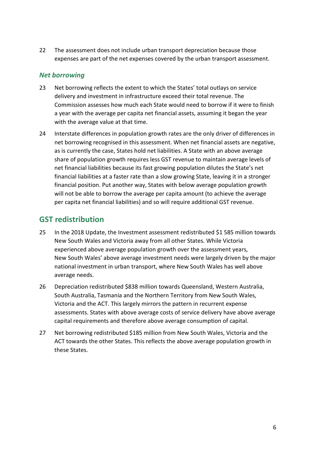22 The assessment does not include urban transport depreciation because those expenses are part of the net expenses covered by the urban transport assessment.

### *Net borrowing*

- 23 Net borrowing reflects the extent to which the States' total outlays on service delivery and investment in infrastructure exceed their total revenue. The Commission assesses how much each State would need to borrow if it were to finish a year with the average per capita net financial assets, assuming it began the year with the average value at that time.
- 24 Interstate differences in population growth rates are the only driver of differences in net borrowing recognised in this assessment. When net financial assets are negative, as is currently the case, States hold net liabilities. A State with an above average share of population growth requires less GST revenue to maintain average levels of net financial liabilities because its fast growing population dilutes the State's net financial liabilities at a faster rate than a slow growing State, leaving it in a stronger financial position. Put another way, States with below average population growth will not be able to borrow the average per capita amount (to achieve the average per capita net financial liabilities) and so will require additional GST revenue.

# <span id="page-8-0"></span>**GST redistribution**

- 25 In the 2018 Update, the Investment assessment redistributed \$1 585 million towards New South Wales and Victoria away from all other States. While Victoria experienced above average population growth over the assessment years, New South Wales' above average investment needs were largely driven by the major national investment in urban transport, where New South Wales has well above average needs.
- 26 Depreciation redistributed \$838 million towards Queensland, Western Australia, South Australia, Tasmania and the Northern Territory from New South Wales, Victoria and the ACT. This largely mirrors the pattern in recurrent expense assessments. States with above average costs of service delivery have above average capital requirements and therefore above average consumption of capital.
- 27 Net borrowing redistributed \$185 million from New South Wales, Victoria and the ACT towards the other States. This reflects the above average population growth in these States.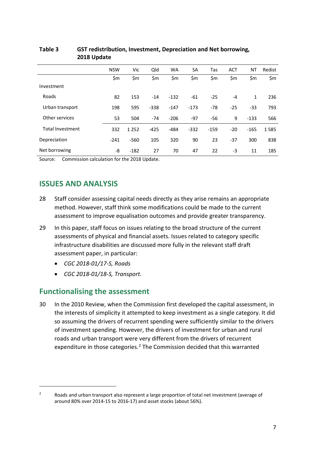|                         | <b>NSW</b> | Vic     | Qld    | <b>WA</b> | <b>SA</b> | Tas    | <b>ACT</b> | ΝT     | Redist |
|-------------------------|------------|---------|--------|-----------|-----------|--------|------------|--------|--------|
|                         | \$m        | \$m     | \$m    | \$m       | \$m       | \$m    | \$m        | \$m    | \$m    |
| Investment              |            |         |        |           |           |        |            |        |        |
| Roads                   | 82         | 153     | $-14$  | $-132$    | $-61$     | $-25$  | $-4$       | 1      | 236    |
| Urban transport         | 198        | 595     | $-338$ | $-147$    | $-173$    | $-78$  | $-25$      | -33    | 793    |
| Other services          | 53         | 504     | $-74$  | $-206$    | $-97$     | -56    | 9          | $-133$ | 566    |
| <b>Total Investment</b> | 332        | 1 2 5 2 | $-425$ | $-484$    | $-332$    | $-159$ | $-20$      | $-165$ | 1585   |
| Depreciation            | $-241$     | $-560$  | 105    | 320       | 90        | 23     | $-37$      | 300    | 838    |
| Net borrowing           | -8         | $-182$  | 27     | 70        | 47        | 22     | -3         | 11     | 185    |

### **Table 3 GST redistribution, Investment, Depreciation and Net borrowing, 2018 Update**

<span id="page-9-0"></span>Source: Commission calculation for the 2018 Update.

# **ISSUES AND ANALYSIS**

- 28 Staff consider assessing capital needs directly as they arise remains an appropriate method. However, staff think some modifications could be made to the current assessment to improve equalisation outcomes and provide greater transparency.
- 29 In this paper, staff focus on issues relating to the broad structure of the current assessments of physical and financial assets. Issues related to category specific infrastructure disabilities are discussed more fully in the relevant staff draft assessment paper, in particular:
	- *CGC 2018-01/17-S, Roads*
	- *CGC 2018-01/18-S, Transport.*

## <span id="page-9-1"></span>**Functionalising the assessment**

 $\overline{a}$ 

30 In the 2010 Review, when the Commission first developed the capital assessment, in the interests of simplicity it attempted to keep investment as a single category. It did so assuming the drivers of recurrent spending were sufficiently similar to the drivers of investment spending. However, the drivers of investment for urban and rural roads and urban transport were very different from the drivers of recurrent expenditure in those categories.<sup>[2](#page-9-2)</sup> The Commission decided that this warranted

<span id="page-9-2"></span><sup>&</sup>lt;sup>2</sup> Roads and urban transport also represent a large proportion of total net investment (average of around 80% over 2014-15 to 2016-17) and asset stocks (about 56%).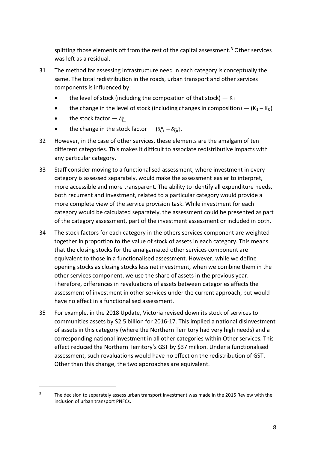splitting those elements off from the rest of the capital assessment. [3](#page-10-0) Other services was left as a residual.

- 31 The method for assessing infrastructure need in each category is conceptually the same. The total redistribution in the roads, urban transport and other services components is influenced by:
	- the level of stock (including the composition of that stock)  $-$  K<sub>1</sub>
	- the change in the level of stock (including changes in composition)  $(K_1 K_0)$
	- the stock factor  $-\delta_{i,1}^u$

 $\overline{a}$ 

- the change in the stock factor  $-(\delta_{i,1}^u \delta_{i,0}^u)$ .
- 32 However, in the case of other services, these elements are the amalgam of ten different categories. This makes it difficult to associate redistributive impacts with any particular category.
- 33 Staff consider moving to a functionalised assessment, where investment in every category is assessed separately, would make the assessment easier to interpret, more accessible and more transparent. The ability to identify all expenditure needs, both recurrent and investment, related to a particular category would provide a more complete view of the service provision task. While investment for each category would be calculated separately, the assessment could be presented as part of the category assessment, part of the investment assessment or included in both.
- <span id="page-10-1"></span>34 The stock factors for each category in the others services component are weighted together in proportion to the value of stock of assets in each category. This means that the closing stocks for the amalgamated other services component are equivalent to those in a functionalised assessment. However, while we define opening stocks as closing stocks less net investment, when we combine them in the other services component, we use the share of assets in the previous year. Therefore, differences in revaluations of assets between categories affects the assessment of investment in other services under the current approach, but would have no effect in a functionalised assessment.
- 35 For example, in the 2018 Update, Victoria revised down its stock of services to communities assets by \$2.5 billion for 2016-17. This implied a national disinvestment of assets in this category (where the Northern Territory had very high needs) and a corresponding national investment in all other categories within Other services. This effect reduced the Northern Territory's GST by \$37 million. Under a functionalised assessment, such revaluations would have no effect on the redistribution of GST. Other than this change, the two approaches are equivalent.

<span id="page-10-0"></span> $3$  The decision to separately assess urban transport investment was made in the 2015 Review with the inclusion of urban transport PNFCs.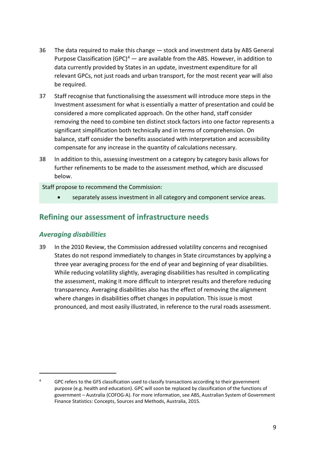- 36 The data required to make this change stock and investment data by ABS General Purpose Classification (GPC) $4 4 -$  are available from the ABS. However, in addition to data currently provided by States in an update, investment expenditure for all relevant GPCs, not just roads and urban transport, for the most recent year will also be required.
- 37 Staff recognise that functionalising the assessment will introduce more steps in the Investment assessment for what is essentially a matter of presentation and could be considered a more complicated approach. On the other hand, staff consider removing the need to combine ten distinct stock factors into one factor represents a significant simplification both technically and in terms of comprehension. On balance, staff consider the benefits associated with interpretation and accessibility compensate for any increase in the quantity of calculations necessary.
- 38 In addition to this, assessing investment on a category by category basis allows for further refinements to be made to the assessment method, which are discussed below.

Staff propose to recommend the Commission:

separately assess investment in all category and component service areas.

### <span id="page-11-0"></span>**Refining our assessment of infrastructure needs**

### *Averaging disabilities*

 $\overline{a}$ 

<span id="page-11-2"></span>39 In the 2010 Review, the Commission addressed volatility concerns and recognised States do not respond immediately to changes in State circumstances by applying a three year averaging process for the end of year and beginning of year disabilities. While reducing volatility slightly, averaging disabilities has resulted in complicating the assessment, making it more difficult to interpret results and therefore reducing transparency. Averaging disabilities also has the effect of removing the alignment where changes in disabilities offset changes in population. This issue is most pronounced, and most easily illustrated, in reference to the rural roads assessment.

<span id="page-11-1"></span><sup>&</sup>lt;sup>4</sup> GPC refers to the GFS classification used to classify transactions according to their government purpose (e.g. health and education). GPC will soon be replaced by classification of the functions of government – Australia (COFOG-A). For more information, see ABS, Australian System of Government Finance Statistics: Concepts, Sources and Methods, Australia, 2015.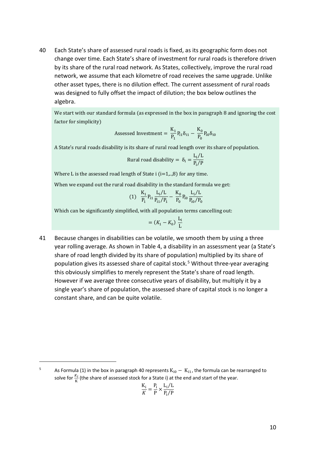<span id="page-12-0"></span>40 Each State's share of assessed rural roads is fixed, as its geographic form does not change over time. Each State's share of investment for rural roads is therefore driven by its share of the rural road network. As States, collectively, improve the rural road network, we assume that each kilometre of road receives the same upgrade. Unlike other asset types, there is no dilution effect. The current assessment of rural roads was designed to fully offset the impact of dilution; the box below outlines the algebra.

We start with our standard formula (as expressed in the box in paragrap[h 8](#page-4-0) and ignoring the cost factor for simplicity)

Assessed Investment = 
$$
\frac{K_1}{P_1}P_{11}\delta_{i1} - \frac{K_0}{P_0}P_{10}\delta_{i0}
$$

A State's rural roads disability is its share of rural road length over its share of population.

Rural road disability = 
$$
\delta_i = \frac{L_i/L}{P_i/P}
$$

Where L is the assessed road length of State i  $(i=1,...8)$  for any time.

When we expand out the rural road disability in the standard formula we get:

(1) 
$$
\frac{K_1}{P_1}P_{11}\frac{L_i/L}{P_{11}/P_1} - \frac{K_0}{P_0}P_{10}\frac{L_i/L}{P_{10}/P_0}
$$

Which can be significantly simplified, with all population terms cancelling out:

$$
= (K_1 - K_0) \frac{L_i}{L}
$$

41 Because changes in disabilities can be volatile, we smooth them by using a three year rolling average. As shown in [Table 4,](#page-13-0) a disability in an assessment year (a State's share of road length divided by its share of population) multiplied by its share of population gives its assessed share of capital stock. [5](#page-12-1) Without three-year averaging this obviously simplifies to merely represent the State's share of road length. However if we average three consecutive years of disability, but multiply it by a single year's share of population, the assessed share of capital stock is no longer a constant share, and can be quite volatile.

 $\overline{a}$ 

$$
\frac{K_i}{K} = \frac{P_i}{P} \times \frac{L_i/L}{P_i/P}
$$

<span id="page-12-1"></span><sup>5</sup> As Formula (1) in the box in paragraph [40](#page-12-0) represents  $K_{i0} - K_{i1}$ , the formula can be rearranged to solve for  $\frac{K_i}{K}$  (the share of assessed stock for a State i) at the end and start of the year.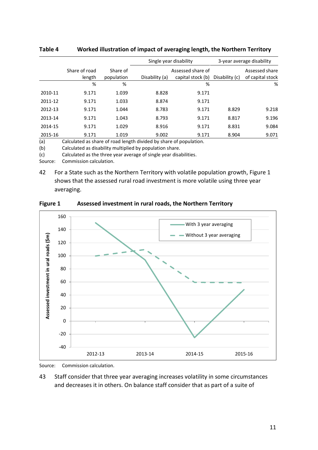|         |                         |                        | Single year disability |                                        | 3-year average disability |                                    |  |
|---------|-------------------------|------------------------|------------------------|----------------------------------------|---------------------------|------------------------------------|--|
|         | Share of road<br>length | Share of<br>population | Disability (a)         | Assessed share of<br>capital stock (b) | Disability (c)            | Assessed share<br>of capital stock |  |
|         | %                       | %                      |                        | %                                      |                           | %                                  |  |
| 2010-11 | 9.171                   | 1.039                  | 8.828                  | 9.171                                  |                           |                                    |  |
| 2011-12 | 9.171                   | 1.033                  | 8.874                  | 9.171                                  |                           |                                    |  |
| 2012-13 | 9.171                   | 1.044                  | 8.783                  | 9.171                                  | 8.829                     | 9.218                              |  |
| 2013-14 | 9.171                   | 1.043                  | 8.793                  | 9.171                                  | 8.817                     | 9.196                              |  |
| 2014-15 | 9.171                   | 1.029                  | 8.916                  | 9.171                                  | 8.831                     | 9.084                              |  |
| 2015-16 | 9.171                   | 1.019                  | 9.002                  | 9.171                                  | 8.904                     | 9.071                              |  |

#### <span id="page-13-0"></span>**Table 4 Worked illustration of impact of averaging length, the Northern Territory**

(a) Calculated as share of road length divided by share of population.

(b) Calculated as disability multiplied by population share.<br>(c) Calculated as the three year average of single year disa Calculated as the three year average of single year disabilities.

Source: Commission calculation.

42 For a State such as the Northern Territory with volatile population growth, [Figure 1](#page-13-1) shows that the assessed rural road investment is more volatile using three year averaging.



<span id="page-13-1"></span>**Figure 1 Assessed investment in rural roads, the Northern Territory**

Source: Commission calculation.

43 Staff consider that three year averaging increases volatility in some circumstances and decreases it in others. On balance staff consider that as part of a suite of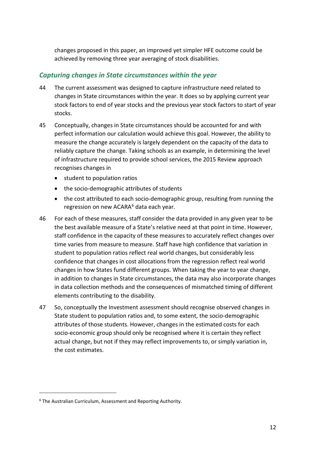changes proposed in this paper, an improved yet simpler HFE outcome could be achieved by removing three year averaging of stock disabilities.

### *Capturing changes in State circumstances within the year*

- <span id="page-14-1"></span>44 The current assessment was designed to capture infrastructure need related to changes in State circumstances within the year. It does so by applying current year stock factors to end of year stocks and the previous year stock factors to start of year stocks.
- 45 Conceptually, changes in State circumstances should be accounted for and with perfect information our calculation would achieve this goal. However, the ability to measure the change accurately is largely dependent on the capacity of the data to reliably capture the change. Taking schools as an example, in determining the level of infrastructure required to provide school services, the 2015 Review approach recognises changes in
	- student to population ratios
	- the socio-demographic attributes of students
	- the cost attributed to each socio-demographic group, resulting from running the regression on new ACARA<sup>[6](#page-14-0)</sup> data each year.
- 46 For each of these measures, staff consider the data provided in any given year to be the best available measure of a State's relative need at that point in time. However, staff confidence in the capacity of these measures to accurately reflect changes over time varies from measure to measure. Staff have high confidence that variation in student to population ratios reflect real world changes, but considerably less confidence that changes in cost allocations from the regression reflect real world changes in how States fund different groups. When taking the year to year change, in addition to changes in State circumstances, the data may also incorporate changes in data collection methods and the consequences of mismatched timing of different elements contributing to the disability.
- 47 So, conceptually the Investment assessment should recognise observed changes in State student to population ratios and, to some extent, the socio-demographic attributes of those students. However, changes in the estimated costs for each socio-economic group should only be recognised where it is certain they reflect actual change, but not if they may reflect improvements to, or simply variation in, the cost estimates.

 $\overline{a}$ 

<span id="page-14-0"></span><sup>6</sup> The Australian Curriculum, Assessment and Reporting Authority.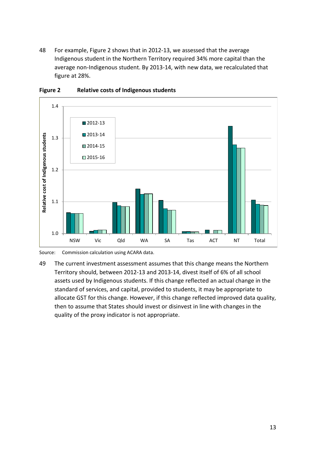48 For example, [Figure 2](#page-15-0) shows that in 2012-13, we assessed that the average Indigenous student in the Northern Territory required 34% more capital than the average non-Indigenous student. By 2013-14, with new data, we recalculated that figure at 28%.



#### <span id="page-15-0"></span>**Figure 2 Relative costs of Indigenous students**

Source: Commission calculation using ACARA data.

49 The current investment assessment assumes that this change means the Northern Territory should, between 2012-13 and 2013-14, divest itself of 6% of all school assets used by Indigenous students. If this change reflected an actual change in the standard of services, and capital, provided to students, it may be appropriate to allocate GST for this change. However, if this change reflected improved data quality, then to assume that States should invest or disinvest in line with changes in the quality of the proxy indicator is not appropriate.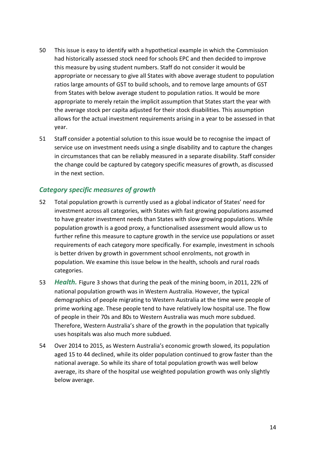- 50 This issue is easy to identify with a hypothetical example in which the Commission had historically assessed stock need for schools EPC and then decided to improve this measure by using student numbers. Staff do not consider it would be appropriate or necessary to give all States with above average student to population ratios large amounts of GST to build schools, and to remove large amounts of GST from States with below average student to population ratios. It would be more appropriate to merely retain the implicit assumption that States start the year with the average stock per capita adjusted for their stock disabilities. This assumption allows for the actual investment requirements arising in a year to be assessed in that year.
- 51 Staff consider a potential solution to this issue would be to recognise the impact of service use on investment needs using a single disability and to capture the changes in circumstances that can be reliably measured in a separate disability. Staff consider the change could be captured by category specific measures of growth, as discussed in the next section.

### *Category specific measures of growth*

- 52 Total population growth is currently used as a global indicator of States' need for investment across all categories, with States with fast growing populations assumed to have greater investment needs than States with slow growing populations. While population growth is a good proxy, a functionalised assessment would allow us to further refine this measure to capture growth in the service use populations or asset requirements of each category more specifically. For example, investment in schools is better driven by growth in government school enrolments, not growth in population. We examine this issue below in the health, schools and rural roads categories.
- 53 *Health.* [Figure 3](#page-17-0) shows that during the peak of the mining boom, in 2011, 22% of national population growth was in Western Australia. However, the typical demographics of people migrating to Western Australia at the time were people of prime working age. These people tend to have relatively low hospital use. The flow of people in their 70s and 80s to Western Australia was much more subdued. Therefore, Western Australia's share of the growth in the population that typically uses hospitals was also much more subdued.
- 54 Over 2014 to 2015, as Western Australia's economic growth slowed, its population aged 15 to 44 declined, while its older population continued to grow faster than the national average. So while its share of total population growth was well below average, its share of the hospital use weighted population growth was only slightly below average.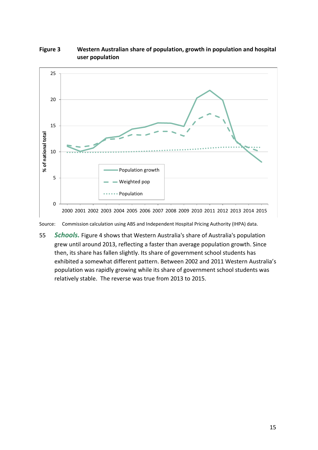

#### <span id="page-17-0"></span>**Figure 3 Western Australian share of population, growth in population and hospital user population**

Source: Commission calculation using ABS and Independent Hospital Pricing Authority (IHPA) data.

55 *Schools.* [Figure 4](#page-18-0) shows that Western Australia's share of Australia's population grew until around 2013, reflecting a faster than average population growth. Since then, its share has fallen slightly. Its share of government school students has exhibited a somewhat different pattern. Between 2002 and 2011 Western Australia's population was rapidly growing while its share of government school students was relatively stable. The reverse was true from 2013 to 2015.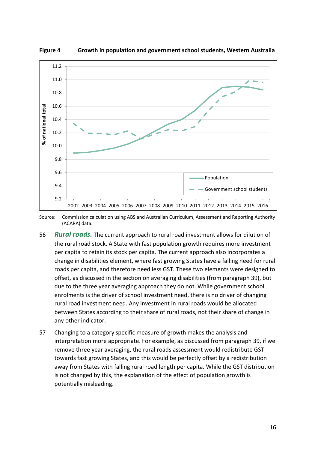

<span id="page-18-0"></span>**Figure 4 Growth in population and government school students, Western Australia**

Source: Commission calculation using ABS and Australian Curriculum, Assessment and Reporting Authority (ACARA) data.

- 56 *Rural roads.* The current approach to rural road investment allows for dilution of the rural road stock. A State with fast population growth requires more investment per capita to retain its stock per capita. The current approach also incorporates a change in disabilities element, where fast growing States have a falling need for rural roads per capita, and therefore need less GST. These two elements were designed to offset, as discussed in the section on averaging disabilities (from paragraph [39\)](#page-11-2), but due to the three year averaging approach they do not. While government school enrolments is the driver of school investment need, there is no driver of changing rural road investment need. Any investment in rural roads would be allocated between States according to their share of rural roads, not their share of change in any other indicator.
- 57 Changing to a category specific measure of growth makes the analysis and interpretation more appropriate. For example, as discussed from paragraph [39,](#page-11-2) if we remove three year averaging, the rural roads assessment would redistribute GST towards fast growing States, and this would be perfectly offset by a redistribution away from States with falling rural road length per capita. While the GST distribution is not changed by this, the explanation of the effect of population growth is potentially misleading.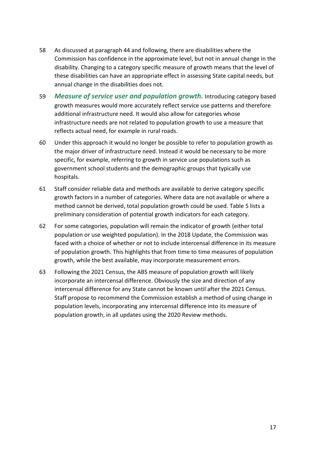- 58 As discussed at paragraph [44](#page-14-1) and following, there are disabilities where the Commission has confidence in the approximate level, but not in annual change in the disability. Changing to a category specific measure of growth means that the level of these disabilities can have an appropriate effect in assessing State capital needs, but annual change in the disabilities does not.
- 59 *Measure of service user and population growth.* Introducing category based growth measures would more accurately reflect service use patterns and therefore additional infrastructure need. It would also allow for categories whose infrastructure needs are not related to population growth to use a measure that reflects actual need, for example in rural roads.
- 60 Under this approach it would no longer be possible to refer to population growth as the major driver of infrastructure need. Instead it would be necessary to be more specific, for example, referring to growth in service use populations such as government school students and the demographic groups that typically use hospitals.
- 61 Staff consider reliable data and methods are available to derive category specific growth factors in a number of categories. Where data are not available or where a method cannot be derived, total population growth could be used. [Table 5](#page-20-1) lists a preliminary consideration of potential growth indicators for each category.
- 62 For some categories, population will remain the indicator of growth (either total population or use weighted population). In the 2018 Update, the Commission was faced with a choice of whether or not to include intercensal difference in its measure of population growth. This highlights that from time to time measures of population growth, while the best available, may incorporate measurement errors.
- 63 Following the 2021 Census, the ABS measure of population growth will likely incorporate an intercensal difference. Obviously the size and direction of any intercensal difference for any State cannot be known until after the 2021 Census. Staff propose to recommend the Commission establish a method of using change in population levels, incorporating any intercensal difference into its measure of population growth, in all updates using the 2020 Review methods.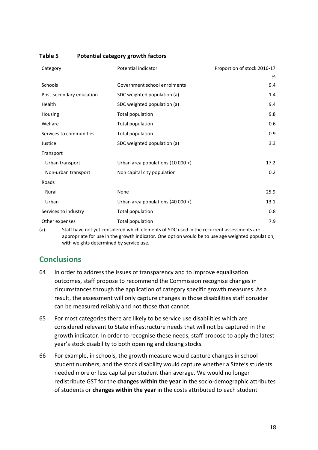| Category                 | Potential indicator               | Proportion of stock 2016-17 |
|--------------------------|-----------------------------------|-----------------------------|
|                          |                                   | %                           |
| Schools                  | Government school enrolments      | 9.4                         |
| Post-secondary education | SDC weighted population (a)       | 1.4                         |
| Health                   | SDC weighted population (a)       | 9.4                         |
| Housing                  | Total population                  | 9.8                         |
| Welfare                  | Total population                  | 0.6                         |
| Services to communities  | Total population                  | 0.9                         |
| Justice                  | SDC weighted population (a)       | 3.3                         |
| Transport                |                                   |                             |
| Urban transport          | Urban area populations (10 000 +) | 17.2                        |
| Non-urban transport      | Non capital city population       | 0.2                         |
| Roads                    |                                   |                             |
| Rural                    | None                              | 25.9                        |
| Urban                    | Urban area populations (40 000 +) | 13.1                        |
| Services to industry     | Total population                  | 0.8                         |
| Other expenses           | Total population                  | 7.9                         |

<span id="page-20-1"></span>**Table 5 Potential category growth factors**

(a) Staff have not yet considered which elements of SDC used in the recurrent assessments are appropriate for use in the growth indicator. One option would be to use age weighted population, with weights determined by service use.

## <span id="page-20-0"></span>**Conclusions**

- 64 In order to address the issues of transparency and to improve equalisation outcomes, staff propose to recommend the Commission recognise changes in circumstances through the application of category specific growth measures. As a result, the assessment will only capture changes in those disabilities staff consider can be measured reliably and not those that cannot.
- <span id="page-20-2"></span>65 For most categories there are likely to be service use disabilities which are considered relevant to State infrastructure needs that will not be captured in the growth indicator. In order to recognise these needs, staff propose to apply the latest year's stock disability to both opening and closing stocks.
- 66 For example, in schools, the growth measure would capture changes in school student numbers, and the stock disability would capture whether a State's students needed more or less capital per student than average. We would no longer redistribute GST for the **changes within the year** in the socio-demographic attributes of students or **changes within the year** in the costs attributed to each student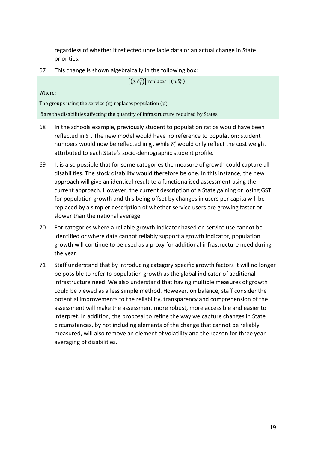regardless of whether it reflected unreliable data or an actual change in State priorities.

67 This change is shown algebraically in the following box:

 $[(g_i \delta_i^g)]$  replaces  $[(p_i \delta_i^u)]$ 

Where:

The groups using the service (g) replaces population (p)

δ are the disabilities affecting the quantity of infrastructure required by States.

- 68 In the schools example, previously student to population ratios would have been reflected in  $\delta_i^u$ . The new model would have no reference to population; student numbers would now be reflected in  $g_i$ , while  $\delta_i^g$  would only reflect the cost weight attributed to each State's socio-demographic student profile.
- 69 It is also possible that for some categories the measure of growth could capture all disabilities. The stock disability would therefore be one. In this instance, the new approach will give an identical result to a functionalised assessment using the current approach. However, the current description of a State gaining or losing GST for population growth and this being offset by changes in users per capita will be replaced by a simpler description of whether service users are growing faster or slower than the national average.
- 70 For categories where a reliable growth indicator based on service use cannot be identified or where data cannot reliably support a growth indicator, population growth will continue to be used as a proxy for additional infrastructure need during the year.
- 71 Staff understand that by introducing category specific growth factors it will no longer be possible to refer to population growth as the global indicator of additional infrastructure need. We also understand that having multiple measures of growth could be viewed as a less simple method. However, on balance, staff consider the potential improvements to the reliability, transparency and comprehension of the assessment will make the assessment more robust, more accessible and easier to interpret. In addition, the proposal to refine the way we capture changes in State circumstances, by not including elements of the change that cannot be reliably measured, will also remove an element of volatility and the reason for three year averaging of disabilities.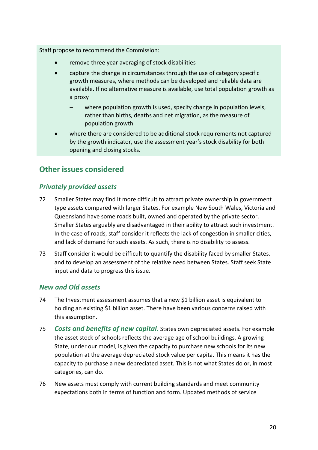#### Staff propose to recommend the Commission:

- remove three year averaging of stock disabilities
- capture the change in circumstances through the use of category specific growth measures, where methods can be developed and reliable data are available. If no alternative measure is available, use total population growth as a proxy
	- − where population growth is used, specify change in population levels, rather than births, deaths and net migration, as the measure of population growth
- where there are considered to be additional stock requirements not captured by the growth indicator, use the assessment year's stock disability for both opening and closing stocks.

## <span id="page-22-0"></span>**Other issues considered**

### *Privately provided assets*

- 72 Smaller States may find it more difficult to attract private ownership in government type assets compared with larger States. For example New South Wales, Victoria and Queensland have some roads built, owned and operated by the private sector. Smaller States arguably are disadvantaged in their ability to attract such investment. In the case of roads, staff consider it reflects the lack of congestion in smaller cities, and lack of demand for such assets. As such, there is no disability to assess.
- 73 Staff consider it would be difficult to quantify the disability faced by smaller States. and to develop an assessment of the relative need between States. Staff seek State input and data to progress this issue.

#### *New and Old assets*

- 74 The Investment assessment assumes that a new \$1 billion asset is equivalent to holding an existing \$1 billion asset. There have been various concerns raised with this assumption.
- 75 *Costs and benefits of new capital.* States own depreciated assets. For example the asset stock of schools reflects the average age of school buildings. A growing State, under our model, is given the capacity to purchase new schools for its new population at the average depreciated stock value per capita. This means it has the capacity to purchase a new depreciated asset. This is not what States do or, in most categories, can do.
- 76 New assets must comply with current building standards and meet community expectations both in terms of function and form. Updated methods of service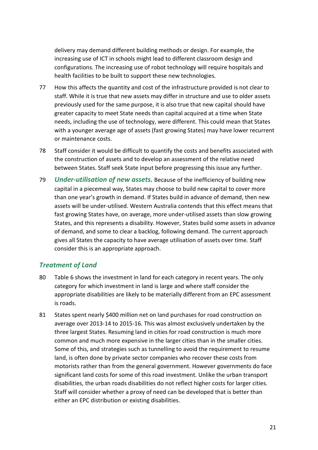delivery may demand different building methods or design. For example, the increasing use of ICT in schools might lead to different classroom design and configurations. The increasing use of robot technology will require hospitals and health facilities to be built to support these new technologies.

- 77 How this affects the quantity and cost of the infrastructure provided is not clear to staff. While it is true that new assets may differ in structure and use to older assets previously used for the same purpose, it is also true that new capital should have greater capacity to meet State needs than capital acquired at a time when State needs, including the use of technology, were different. This could mean that States with a younger average age of assets (fast growing States) may have lower recurrent or maintenance costs.
- 78 Staff consider it would be difficult to quantify the costs and benefits associated with the construction of assets and to develop an assessment of the relative need between States. Staff seek State input before progressing this issue any further.
- 79 *Under-utilisation of new assets.* Because of the inefficiency of building new capital in a piecemeal way, States may choose to build new capital to cover more than one year's growth in demand. If States build in advance of demand, then new assets will be under-utilised. Western Australia contends that this effect means that fast growing States have, on average, more under-utilised assets than slow growing States, and this represents a disability. However, States build some assets in advance of demand, and some to clear a backlog, following demand. The current approach gives all States the capacity to have average utilisation of assets over time. Staff consider this is an appropriate approach.

### *Treatment of Land*

- 80 [Table 6](#page-24-0) shows the investment in land for each category in recent years. The only category for which investment in land is large and where staff consider the appropriate disabilities are likely to be materially different from an EPC assessment is roads.
- 81 States spent nearly \$400 million net on land purchases for road construction on average over 2013-14 to 2015-16. This was almost exclusively undertaken by the three largest States. Resuming land in cities for road construction is much more common and much more expensive in the larger cities than in the smaller cities. Some of this, and strategies such as tunnelling to avoid the requirement to resume land, is often done by private sector companies who recover these costs from motorists rather than from the general government. However governments do face significant land costs for some of this road investment. Unlike the urban transport disabilities, the urban roads disabilities do not reflect higher costs for larger cities. Staff will consider whether a proxy of need can be developed that is better than either an EPC distribution or existing disabilities.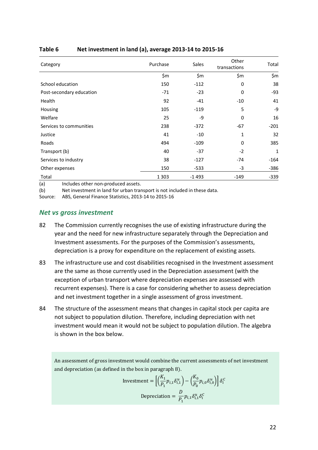| Category                 | Purchase | Sales   | Other<br>transactions | Total  |
|--------------------------|----------|---------|-----------------------|--------|
|                          | \$m      | \$m     | \$m\$                 | \$m    |
| School education         | 150      | $-112$  | 0                     | 38     |
| Post-secondary education | $-71$    | $-23$   | 0                     | -93    |
| Health                   | 92       | $-41$   | $-10$                 | 41     |
| Housing                  | 105      | $-119$  | 5                     | -9     |
| Welfare                  | 25       | -9      | 0                     | 16     |
| Services to communities  | 238      | $-372$  | -67                   | $-201$ |
| Justice                  | 41       | $-10$   | 1                     | 32     |
| Roads                    | 494      | $-109$  | 0                     | 385    |
| Transport (b)            | 40       | $-37$   | $-2$                  | 1      |
| Services to industry     | 38       | $-127$  | -74                   | $-164$ |
| Other expenses           | 150      | $-533$  | $-3$                  | $-386$ |
| Total                    | 1 3 0 3  | $-1493$ | $-149$                | $-339$ |

#### <span id="page-24-0"></span>**Table 6 Net investment in land (a), average 2013-14 to 2015-16**

(a) Includes other non-produced assets.

(b) Net investment in land for urban transport is not included in these data.

Source: ABS, General Finance Statistics, 2013-14 to 2015-16

#### *Net vs gross investment*

- 82 The Commission currently recognises the use of existing infrastructure during the year and the need for new infrastructure separately through the Depreciation and Investment assessments. For the purposes of the Commission's assessments, depreciation is a proxy for expenditure on the replacement of existing assets.
- 83 The infrastructure use and cost disabilities recognised in the Investment assessment are the same as those currently used in the Depreciation assessment (with the exception of urban transport where depreciation expenses are assessed with recurrent expenses). There is a case for considering whether to assess depreciation and net investment together in a single assessment of gross investment.
- 84 The structure of the assessment means that changes in capital stock per capita are not subject to population dilution. Therefore, including depreciation with net investment would mean it would not be subject to population dilution. The algebra is shown in the box below.

An assessment of gross investment would combine the current assessments of net investment and depreciation (as defined in the box in paragraph [8\)](#page-4-0).

Investment = 
$$
\left[ \left( \frac{K_1}{P_1} p_{i,1} \delta_{i,1}^u \right) - \left( \frac{K_0}{P_0} p_{i,0} \delta_{i,0}^u \right) \right] \delta_i^c
$$
  
Depreciation = 
$$
\frac{D}{P_1} p_{i,1} \delta_{i,1}^u \delta_i^c
$$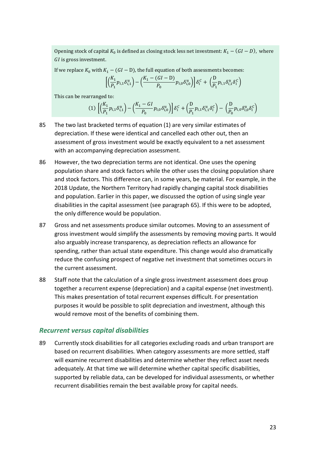Opening stock of capital  $K_0$  is defined as closing stock less net investment:  $K_1 - (GI - D)$ , where  $GI$  is gross investment.

If we replace  $K_0$  with  $K_1 - (GI - D)$ , the full equation of both assessments becomes:

$$
\left[\left(\frac{K_1}{P_1}p_{i,1}\delta_{i,1}^u\right)-\left(\frac{K_1-(GI-D)}{P_0}p_{i,0}\delta_{i,0}^u\right)\right]\delta_i^C+\left(\frac{D}{P_1}p_{i,1}\delta_{i,1}^u\delta_i^C\right)
$$

This can be rearranged to:

$$
(1) \left[ \left( \frac{K_1}{P_1} p_{i,1} \delta^u_{i,1} \right) - \left( \frac{K_1 - GI}{P_0} p_{i,0} \delta^u_{i,0} \right) \right] \delta^c_i + \left( \frac{D}{P_1} p_{i,1} \delta^u_{i,1} \delta^c_i \right) - \left( \frac{D}{P_0} p_{i,0} \delta^u_{i,0} \delta^c_i \right)
$$

- 85 The two last bracketed terms of equation (1) are very similar estimates of depreciation. If these were identical and cancelled each other out, then an assessment of gross investment would be exactly equivalent to a net assessment with an accompanying depreciation assessment.
- 86 However, the two depreciation terms are not identical. One uses the opening population share and stock factors while the other uses the closing population share and stock factors. This difference can, in some years, be material. For example, in the 2018 Update, the Northern Territory had rapidly changing capital stock disabilities and population. Earlier in this paper, we discussed the option of using single year disabilities in the capital assessment (see paragraph [65\)](#page-20-2). If this were to be adopted, the only difference would be population.
- 87 Gross and net assessments produce similar outcomes. Moving to an assessment of gross investment would simplify the assessments by removing moving parts. It would also arguably increase transparency, as depreciation reflects an allowance for spending, rather than actual state expenditure. This change would also dramatically reduce the confusing prospect of negative net investment that sometimes occurs in the current assessment.
- <span id="page-25-0"></span>88 Staff note that the calculation of a single gross investment assessment does group together a recurrent expense (depreciation) and a capital expense (net investment). This makes presentation of total recurrent expenses difficult. For presentation purposes it would be possible to split depreciation and investment, although this would remove most of the benefits of combining them.

### *Recurrent versus capital disabilities*

89 Currently stock disabilities for all categories excluding roads and urban transport are based on recurrent disabilities. When category assessments are more settled, staff will examine recurrent disabilities and determine whether they reflect asset needs adequately. At that time we will determine whether capital specific disabilities, supported by reliable data, can be developed for individual assessments, or whether recurrent disabilities remain the best available proxy for capital needs.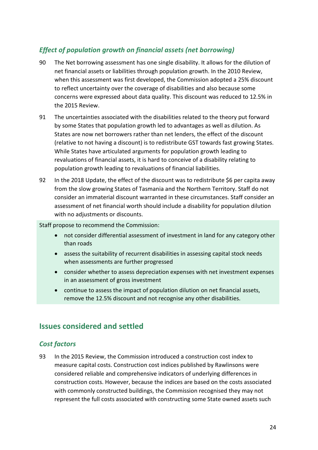### *Effect of population growth on financial assets (net borrowing)*

- 90 The Net borrowing assessment has one single disability. It allows for the dilution of net financial assets or liabilities through population growth. In the 2010 Review, when this assessment was first developed, the Commission adopted a 25% discount to reflect uncertainty over the coverage of disabilities and also because some concerns were expressed about data quality. This discount was reduced to 12.5% in the 2015 Review.
- 91 The uncertainties associated with the disabilities related to the theory put forward by some States that population growth led to advantages as well as dilution. As States are now net borrowers rather than net lenders, the effect of the discount (relative to not having a discount) is to redistribute GST towards fast growing States. While States have articulated arguments for population growth leading to revaluations of financial assets, it is hard to conceive of a disability relating to population growth leading to revaluations of financial liabilities.
- 92 In the 2018 Update, the effect of the discount was to redistribute \$6 per capita away from the slow growing States of Tasmania and the Northern Territory. Staff do not consider an immaterial discount warranted in these circumstances. Staff consider an assessment of net financial worth should include a disability for population dilution with no adjustments or discounts.

Staff propose to recommend the Commission:

- not consider differential assessment of investment in land for any category other than roads
- assess the suitability of recurrent disabilities in assessing capital stock needs when assessments are further progressed
- consider whether to assess depreciation expenses with net investment expenses in an assessment of gross investment
- continue to assess the impact of population dilution on net financial assets, remove the 12.5% discount and not recognise any other disabilities.

# <span id="page-26-0"></span>**Issues considered and settled**

### *Cost factors*

93 In the 2015 Review, the Commission introduced a construction cost index to measure capital costs. Construction cost indices published by Rawlinsons were considered reliable and comprehensive indicators of underlying differences in construction costs. However, because the indices are based on the costs associated with commonly constructed buildings, the Commission recognised they may not represent the full costs associated with constructing some State owned assets such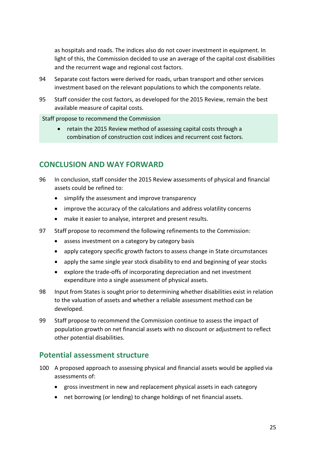as hospitals and roads. The indices also do not cover investment in equipment. In light of this, the Commission decided to use an average of the capital cost disabilities and the recurrent wage and regional cost factors.

- 94 Separate cost factors were derived for roads, urban transport and other services investment based on the relevant populations to which the components relate.
- 95 Staff consider the cost factors, as developed for the 2015 Review, remain the best available measure of capital costs.

Staff propose to recommend the Commission

• retain the 2015 Review method of assessing capital costs through a combination of construction cost indices and recurrent cost factors.

## <span id="page-27-0"></span>**CONCLUSION AND WAY FORWARD**

- 96 In conclusion, staff consider the 2015 Review assessments of physical and financial assets could be refined to:
	- simplify the assessment and improve transparency
	- improve the accuracy of the calculations and address volatility concerns
	- make it easier to analyse, interpret and present results.
- 97 Staff propose to recommend the following refinements to the Commission:
	- assess investment on a category by category basis
	- apply category specific growth factors to assess change in State circumstances
	- apply the same single year stock disability to end and beginning of year stocks
	- explore the trade-offs of incorporating depreciation and net investment expenditure into a single assessment of physical assets.
- 98 Input from States is sought prior to determining whether disabilities exist in relation to the valuation of assets and whether a reliable assessment method can be developed.
- 99 Staff propose to recommend the Commission continue to assess the impact of population growth on net financial assets with no discount or adjustment to reflect other potential disabilities.

# <span id="page-27-1"></span>**Potential assessment structure**

- 100 A proposed approach to assessing physical and financial assets would be applied via assessments of:
	- gross investment in new and replacement physical assets in each category
	- net borrowing (or lending) to change holdings of net financial assets.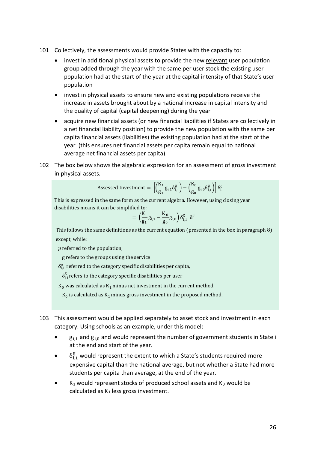- 101 Collectively, the assessments would provide States with the capacity to:
	- invest in additional physical assets to provide the new relevant user population group added through the year with the same per user stock the existing user population had at the start of the year at the capital intensity of that State's user population
	- invest in physical assets to ensure new and existing populations receive the increase in assets brought about by a national increase in capital intensity and the quality of capital (capital deepening) during the year
	- acquire new financial assets (or new financial liabilities if States are collectively in a net financial liability position) to provide the new population with the same per capita financial assets (liabilities) the existing population had at the start of the year (this ensures net financial assets per capita remain equal to national average net financial assets per capita).
- 102 The box below shows the algebraic expression for an assessment of gross investment in physical assets.

$$
\text{Assessed Investment} = \Big[\Big(\!\frac{K_1}{g_1} g_{i,1} \delta_{i,1}^g\Big) - \Big(\!\frac{K_0}{g_0} g_{i,0} \delta_{i,1}^g\Big)\Big]\delta_i^c
$$

This is expressed in the same form as the current algebra. However, using closing year disabilities means it can be simplified to:

$$
= \left(\frac{K_1}{g_1}g_{i,1} - \frac{K_0}{g_0}g_{i,0}\right)\delta_{i,1}^g \delta_i^c
$$

This follows the same definitions as the current equation (presented in the box in paragraph [8\)](#page-4-0) except, while:

 $p$  referred to the population,

g refers to the groups using the service

 $\delta_{i,1}^{\mathrm{u}}$  referred to the category specific disabilities per capita,

 $\delta_{\text{i,1}}^{\text{g}}$ refers to the category specific disabilities per user

 $K_0$  was calculated as  $K_1$  minus net investment in the current method,

 $K_0$  is calculated as  $K_1$  minus gross investment in the proposed method.

- 103 This assessment would be applied separately to asset stock and investment in each category. Using schools as an example, under this model:
	- $\bullet$   $g_{i,1}$  and  $g_{i,0}$  and would represent the number of government students in State i at the end and start of the year.
	- $\bullet$   $\delta_{i,1}^g$  would represent the extent to which a State's students required more expensive capital than the national average, but not whether a State had more students per capita than average, at the end of the year.
	- K<sub>1</sub> would represent stocks of produced school assets and K<sub>0</sub> would be calculated as  $K_1$  less gross investment.